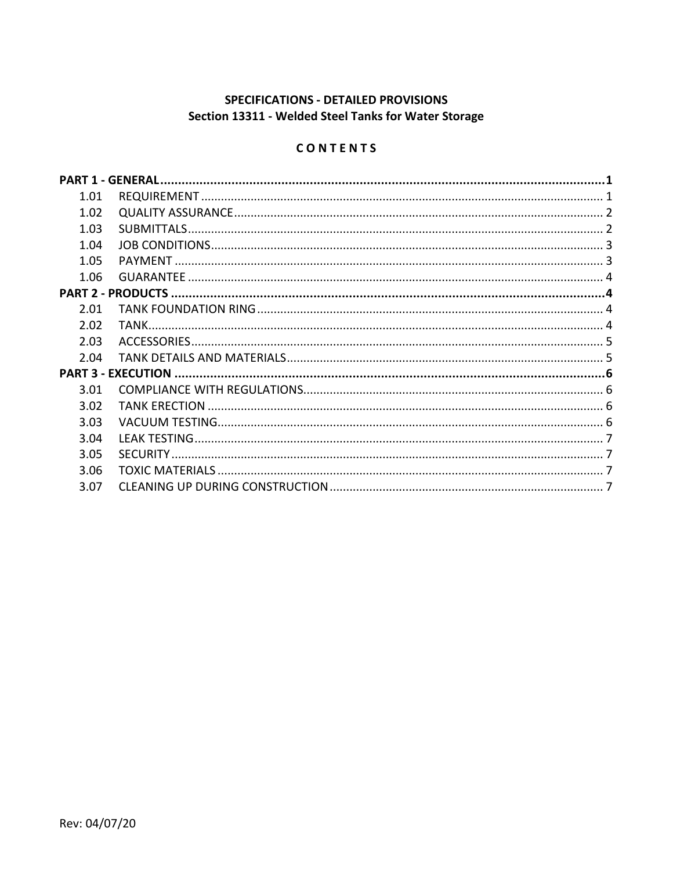# **SPECIFICATIONS - DETAILED PROVISIONS** Section 13311 - Welded Steel Tanks for Water Storage

# CONTENTS

| 1.01 |  |
|------|--|
| 1.02 |  |
| 1.03 |  |
| 1.04 |  |
| 1.05 |  |
| 1.06 |  |
|      |  |
| 2.01 |  |
| 2.02 |  |
| 2.03 |  |
| 2.04 |  |
|      |  |
| 3.01 |  |
| 3.02 |  |
| 3.03 |  |
| 3.04 |  |
| 3.05 |  |
| 3.06 |  |
| 3.07 |  |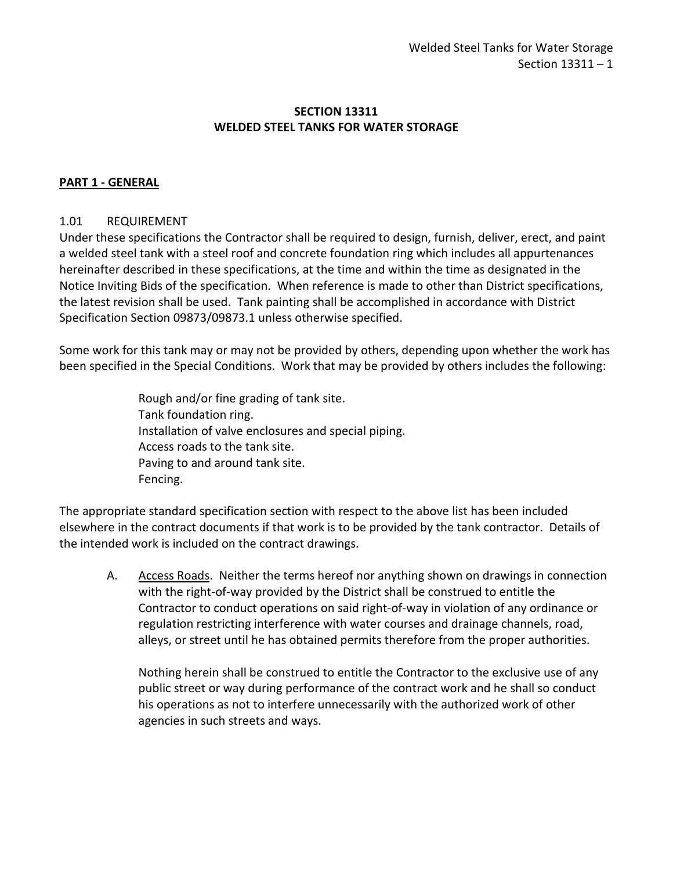### **SECTION 13311 WELDED STEEL TANKS FOR WATER STORAGE**

#### <span id="page-2-0"></span>**PART 1 - GENERAL**

#### <span id="page-2-1"></span>1.01 REQUIREMENT

Under these specifications the Contractor shall be required to design, furnish, deliver, erect, and paint a welded steel tank with a steel roof and concrete foundation ring which includes all appurtenances hereinafter described in these specifications, at the time and within the time as designated in the Notice Inviting Bids of the specification. When reference is made to other than District specifications, the latest revision shall be used. Tank painting shall be accomplished in accordance with District Specification Section 09873/09873.1 unless otherwise specified.

Some work for this tank may or may not be provided by others, depending upon whether the work has been specified in the Special Conditions. Work that may be provided by others includes the following:

> Rough and/or fine grading of tank site. Tank foundation ring. Installation of valve enclosures and special piping. Access roads to the tank site. Paving to and around tank site. Fencing.

The appropriate standard specification section with respect to the above list has been included elsewhere in the contract documents if that work is to be provided by the tank contractor. Details of the intended work is included on the contract drawings.

A. Access Roads. Neither the terms hereof nor anything shown on drawings in connection with the right-of-way provided by the District shall be construed to entitle the Contractor to conduct operations on said right-of-way in violation of any ordinance or regulation restricting interference with water courses and drainage channels, road, alleys, or street until he has obtained permits therefore from the proper authorities.

Nothing herein shall be construed to entitle the Contractor to the exclusive use of any public street or way during performance of the contract work and he shall so conduct his operations as not to interfere unnecessarily with the authorized work of other agencies in such streets and ways.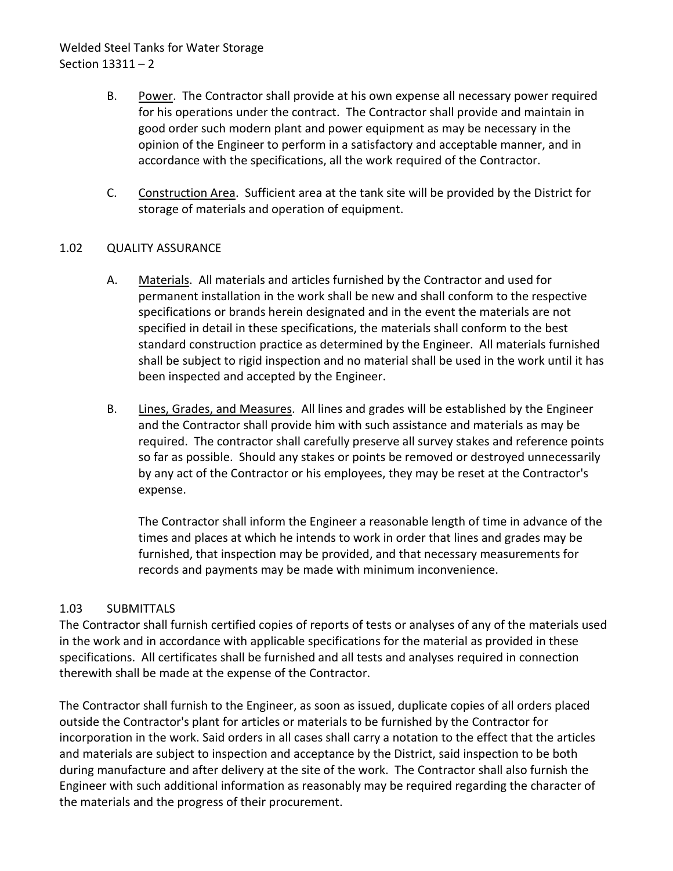# Welded Steel Tanks for Water Storage Section 13311 – 2

- B. Power. The Contractor shall provide at his own expense all necessary power required for his operations under the contract. The Contractor shall provide and maintain in good order such modern plant and power equipment as may be necessary in the opinion of the Engineer to perform in a satisfactory and acceptable manner, and in accordance with the specifications, all the work required of the Contractor.
- C. Construction Area. Sufficient area at the tank site will be provided by the District for storage of materials and operation of equipment.

### <span id="page-3-0"></span>1.02 QUALITY ASSURANCE

- A. Materials. All materials and articles furnished by the Contractor and used for permanent installation in the work shall be new and shall conform to the respective specifications or brands herein designated and in the event the materials are not specified in detail in these specifications, the materials shall conform to the best standard construction practice as determined by the Engineer. All materials furnished shall be subject to rigid inspection and no material shall be used in the work until it has been inspected and accepted by the Engineer.
- B. Lines, Grades, and Measures. All lines and grades will be established by the Engineer and the Contractor shall provide him with such assistance and materials as may be required. The contractor shall carefully preserve all survey stakes and reference points so far as possible. Should any stakes or points be removed or destroyed unnecessarily by any act of the Contractor or his employees, they may be reset at the Contractor's expense.

The Contractor shall inform the Engineer a reasonable length of time in advance of the times and places at which he intends to work in order that lines and grades may be furnished, that inspection may be provided, and that necessary measurements for records and payments may be made with minimum inconvenience.

### <span id="page-3-1"></span>1.03 SUBMITTALS

The Contractor shall furnish certified copies of reports of tests or analyses of any of the materials used in the work and in accordance with applicable specifications for the material as provided in these specifications. All certificates shall be furnished and all tests and analyses required in connection therewith shall be made at the expense of the Contractor.

The Contractor shall furnish to the Engineer, as soon as issued, duplicate copies of all orders placed outside the Contractor's plant for articles or materials to be furnished by the Contractor for incorporation in the work. Said orders in all cases shall carry a notation to the effect that the articles and materials are subject to inspection and acceptance by the District, said inspection to be both during manufacture and after delivery at the site of the work. The Contractor shall also furnish the Engineer with such additional information as reasonably may be required regarding the character of the materials and the progress of their procurement.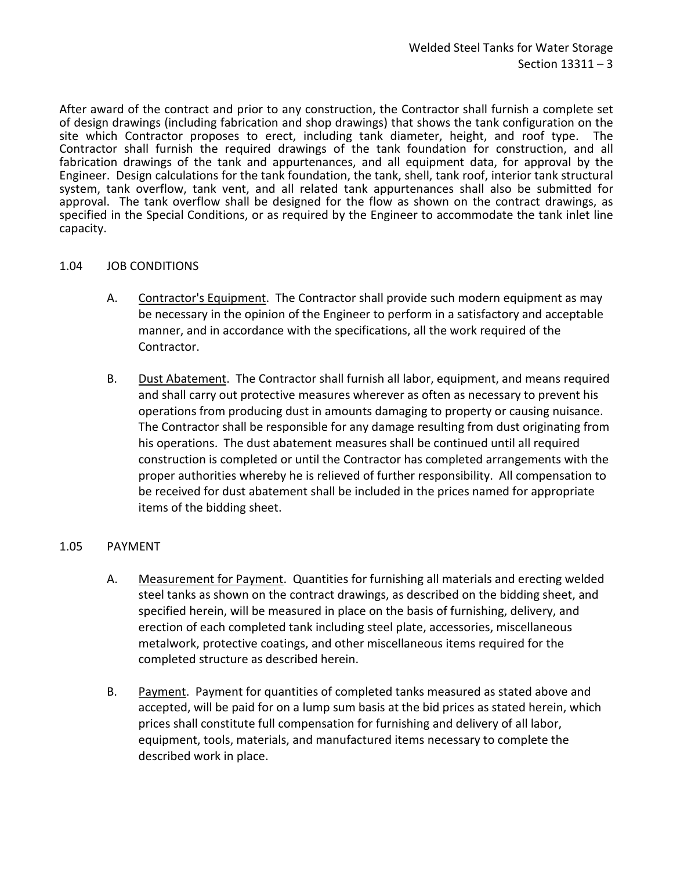After award of the contract and prior to any construction, the Contractor shall furnish a complete set of design drawings (including fabrication and shop drawings) that shows the tank configuration on the site which Contractor proposes to erect, including tank diameter, height, and roof type. The Contractor shall furnish the required drawings of the tank foundation for construction, and all fabrication drawings of the tank and appurtenances, and all equipment data, for approval by the Engineer. Design calculations for the tank foundation, the tank, shell, tank roof, interior tank structural system, tank overflow, tank vent, and all related tank appurtenances shall also be submitted for approval. The tank overflow shall be designed for the flow as shown on the contract drawings, as specified in the Special Conditions, or as required by the Engineer to accommodate the tank inlet line capacity.

#### <span id="page-4-0"></span>1.04 JOB CONDITIONS

- A. Contractor's Equipment. The Contractor shall provide such modern equipment as may be necessary in the opinion of the Engineer to perform in a satisfactory and acceptable manner, and in accordance with the specifications, all the work required of the Contractor.
- B. Dust Abatement. The Contractor shall furnish all labor, equipment, and means required and shall carry out protective measures wherever as often as necessary to prevent his operations from producing dust in amounts damaging to property or causing nuisance. The Contractor shall be responsible for any damage resulting from dust originating from his operations. The dust abatement measures shall be continued until all required construction is completed or until the Contractor has completed arrangements with the proper authorities whereby he is relieved of further responsibility. All compensation to be received for dust abatement shall be included in the prices named for appropriate items of the bidding sheet.

#### <span id="page-4-1"></span>1.05 PAYMENT

- A. Measurement for Payment. Quantities for furnishing all materials and erecting welded steel tanks as shown on the contract drawings, as described on the bidding sheet, and specified herein, will be measured in place on the basis of furnishing, delivery, and erection of each completed tank including steel plate, accessories, miscellaneous metalwork, protective coatings, and other miscellaneous items required for the completed structure as described herein.
- B. Payment. Payment for quantities of completed tanks measured as stated above and accepted, will be paid for on a lump sum basis at the bid prices as stated herein, which prices shall constitute full compensation for furnishing and delivery of all labor, equipment, tools, materials, and manufactured items necessary to complete the described work in place.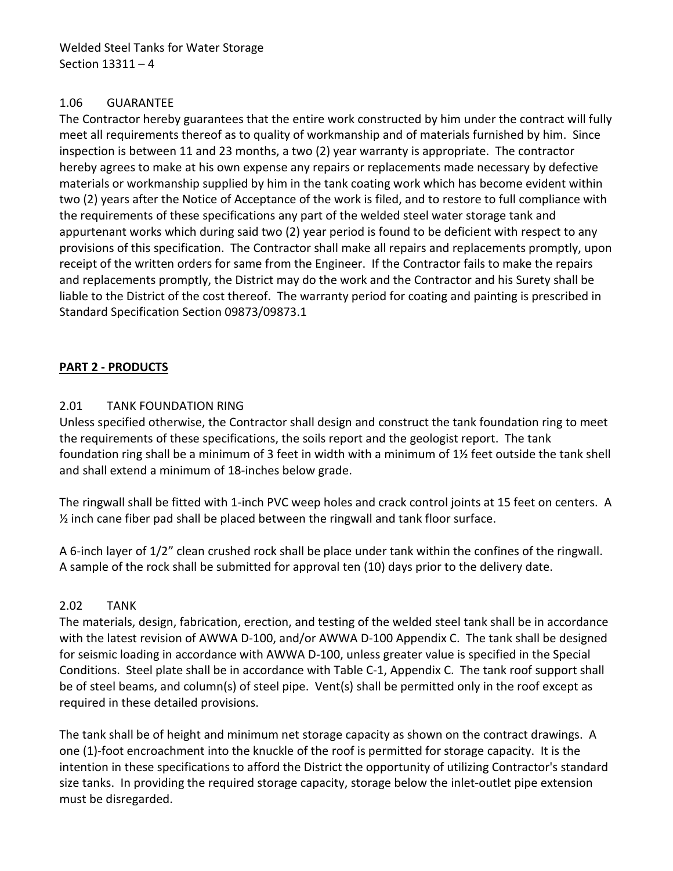Welded Steel Tanks for Water Storage Section 13311 – 4

#### <span id="page-5-0"></span>1.06 GUARANTEE

The Contractor hereby guarantees that the entire work constructed by him under the contract will fully meet all requirements thereof as to quality of workmanship and of materials furnished by him. Since inspection is between 11 and 23 months, a two (2) year warranty is appropriate. The contractor hereby agrees to make at his own expense any repairs or replacements made necessary by defective materials or workmanship supplied by him in the tank coating work which has become evident within two (2) years after the Notice of Acceptance of the work is filed, and to restore to full compliance with the requirements of these specifications any part of the welded steel water storage tank and appurtenant works which during said two (2) year period is found to be deficient with respect to any provisions of this specification. The Contractor shall make all repairs and replacements promptly, upon receipt of the written orders for same from the Engineer. If the Contractor fails to make the repairs and replacements promptly, the District may do the work and the Contractor and his Surety shall be liable to the District of the cost thereof. The warranty period for coating and painting is prescribed in Standard Specification Section 09873/09873.1

# <span id="page-5-1"></span>**PART 2 - PRODUCTS**

# <span id="page-5-2"></span>2.01 TANK FOUNDATION RING

Unless specified otherwise, the Contractor shall design and construct the tank foundation ring to meet the requirements of these specifications, the soils report and the geologist report. The tank foundation ring shall be a minimum of 3 feet in width with a minimum of 1½ feet outside the tank shell and shall extend a minimum of 18-inches below grade.

The ringwall shall be fitted with 1-inch PVC weep holes and crack control joints at 15 feet on centers. A  $\frac{1}{2}$  inch cane fiber pad shall be placed between the ringwall and tank floor surface.

A 6-inch layer of 1/2" clean crushed rock shall be place under tank within the confines of the ringwall. A sample of the rock shall be submitted for approval ten (10) days prior to the delivery date.

### <span id="page-5-3"></span>2.02 TANK

The materials, design, fabrication, erection, and testing of the welded steel tank shall be in accordance with the latest revision of AWWA D-100, and/or AWWA D-100 Appendix C. The tank shall be designed for seismic loading in accordance with AWWA D-100, unless greater value is specified in the Special Conditions. Steel plate shall be in accordance with Table C-1, Appendix C. The tank roof support shall be of steel beams, and column(s) of steel pipe. Vent(s) shall be permitted only in the roof except as required in these detailed provisions.

The tank shall be of height and minimum net storage capacity as shown on the contract drawings. A one (1)-foot encroachment into the knuckle of the roof is permitted for storage capacity. It is the intention in these specifications to afford the District the opportunity of utilizing Contractor's standard size tanks. In providing the required storage capacity, storage below the inlet-outlet pipe extension must be disregarded.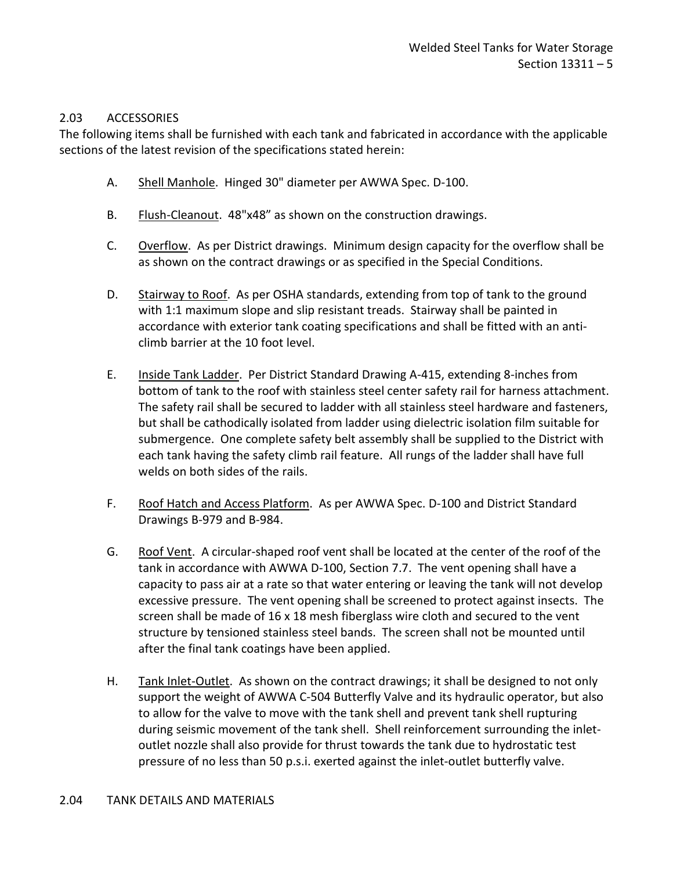#### <span id="page-6-0"></span>2.03 ACCESSORIES

The following items shall be furnished with each tank and fabricated in accordance with the applicable sections of the latest revision of the specifications stated herein:

- A. Shell Manhole. Hinged 30" diameter per AWWA Spec. D-100.
- B. Flush-Cleanout. 48"x48" as shown on the construction drawings.
- C. Overflow. As per District drawings. Minimum design capacity for the overflow shall be as shown on the contract drawings or as specified in the Special Conditions.
- D. Stairway to Roof. As per OSHA standards, extending from top of tank to the ground with 1:1 maximum slope and slip resistant treads. Stairway shall be painted in accordance with exterior tank coating specifications and shall be fitted with an anticlimb barrier at the 10 foot level.
- E. Inside Tank Ladder. Per District Standard Drawing A-415, extending 8-inches from bottom of tank to the roof with stainless steel center safety rail for harness attachment. The safety rail shall be secured to ladder with all stainless steel hardware and fasteners, but shall be cathodically isolated from ladder using dielectric isolation film suitable for submergence. One complete safety belt assembly shall be supplied to the District with each tank having the safety climb rail feature. All rungs of the ladder shall have full welds on both sides of the rails.
- F. Roof Hatch and Access Platform. As per AWWA Spec. D-100 and District Standard Drawings B-979 and B-984.
- G. Roof Vent. A circular-shaped roof vent shall be located at the center of the roof of the tank in accordance with AWWA D-100, Section 7.7. The vent opening shall have a capacity to pass air at a rate so that water entering or leaving the tank will not develop excessive pressure. The vent opening shall be screened to protect against insects. The screen shall be made of 16 x 18 mesh fiberglass wire cloth and secured to the vent structure by tensioned stainless steel bands. The screen shall not be mounted until after the final tank coatings have been applied.
- <span id="page-6-1"></span>H. Tank Inlet-Outlet. As shown on the contract drawings; it shall be designed to not only support the weight of AWWA C-504 Butterfly Valve and its hydraulic operator, but also to allow for the valve to move with the tank shell and prevent tank shell rupturing during seismic movement of the tank shell. Shell reinforcement surrounding the inletoutlet nozzle shall also provide for thrust towards the tank due to hydrostatic test pressure of no less than 50 p.s.i. exerted against the inlet-outlet butterfly valve.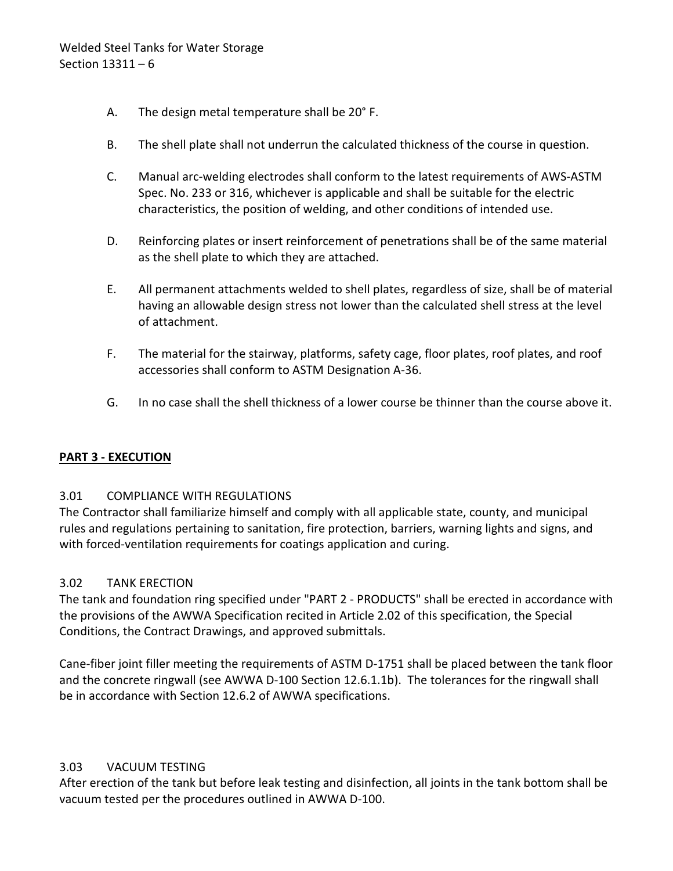- A. The design metal temperature shall be 20° F.
- B. The shell plate shall not underrun the calculated thickness of the course in question.
- C. Manual arc-welding electrodes shall conform to the latest requirements of AWS-ASTM Spec. No. 233 or 316, whichever is applicable and shall be suitable for the electric characteristics, the position of welding, and other conditions of intended use.
- D. Reinforcing plates or insert reinforcement of penetrations shall be of the same material as the shell plate to which they are attached.
- E. All permanent attachments welded to shell plates, regardless of size, shall be of material having an allowable design stress not lower than the calculated shell stress at the level of attachment.
- F. The material for the stairway, platforms, safety cage, floor plates, roof plates, and roof accessories shall conform to ASTM Designation A-36.
- G. In no case shall the shell thickness of a lower course be thinner than the course above it.

### <span id="page-7-0"></span>**PART 3 - EXECUTION**

#### <span id="page-7-1"></span>3.01 COMPLIANCE WITH REGULATIONS

The Contractor shall familiarize himself and comply with all applicable state, county, and municipal rules and regulations pertaining to sanitation, fire protection, barriers, warning lights and signs, and with forced-ventilation requirements for coatings application and curing.

#### <span id="page-7-2"></span>3.02 TANK ERECTION

The tank and foundation ring specified under "PART 2 - PRODUCTS" shall be erected in accordance with the provisions of the AWWA Specification recited in Article 2.02 of this specification, the Special Conditions, the Contract Drawings, and approved submittals.

Cane-fiber joint filler meeting the requirements of ASTM D-1751 shall be placed between the tank floor and the concrete ringwall (see AWWA D-100 Section 12.6.1.1b). The tolerances for the ringwall shall be in accordance with Section 12.6.2 of AWWA specifications.

#### <span id="page-7-3"></span>3.03 VACUUM TESTING

After erection of the tank but before leak testing and disinfection, all joints in the tank bottom shall be vacuum tested per the procedures outlined in AWWA D-100.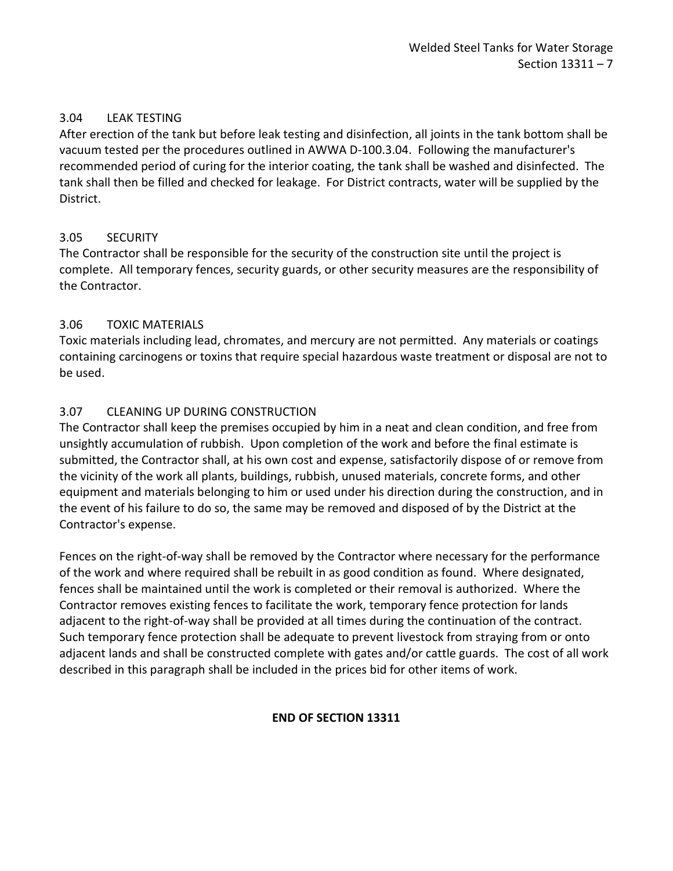### <span id="page-8-0"></span>3.04 LEAK TESTING

After erection of the tank but before leak testing and disinfection, all joints in the tank bottom shall be vacuum tested per the procedures outlined in AWWA D-100.3.04. Following the manufacturer's recommended period of curing for the interior coating, the tank shall be washed and disinfected. The tank shall then be filled and checked for leakage. For District contracts, water will be supplied by the District.

# <span id="page-8-1"></span>3.05 SECURITY

The Contractor shall be responsible for the security of the construction site until the project is complete. All temporary fences, security guards, or other security measures are the responsibility of the Contractor.

### <span id="page-8-2"></span>3.06 TOXIC MATERIALS

Toxic materials including lead, chromates, and mercury are not permitted. Any materials or coatings containing carcinogens or toxins that require special hazardous waste treatment or disposal are not to be used.

# <span id="page-8-3"></span>3.07 CLEANING UP DURING CONSTRUCTION

The Contractor shall keep the premises occupied by him in a neat and clean condition, and free from unsightly accumulation of rubbish. Upon completion of the work and before the final estimate is submitted, the Contractor shall, at his own cost and expense, satisfactorily dispose of or remove from the vicinity of the work all plants, buildings, rubbish, unused materials, concrete forms, and other equipment and materials belonging to him or used under his direction during the construction, and in the event of his failure to do so, the same may be removed and disposed of by the District at the Contractor's expense.

Fences on the right-of-way shall be removed by the Contractor where necessary for the performance of the work and where required shall be rebuilt in as good condition as found. Where designated, fences shall be maintained until the work is completed or their removal is authorized. Where the Contractor removes existing fences to facilitate the work, temporary fence protection for lands adjacent to the right-of-way shall be provided at all times during the continuation of the contract. Such temporary fence protection shall be adequate to prevent livestock from straying from or onto adjacent lands and shall be constructed complete with gates and/or cattle guards. The cost of all work described in this paragraph shall be included in the prices bid for other items of work.

### **END OF SECTION 13311**